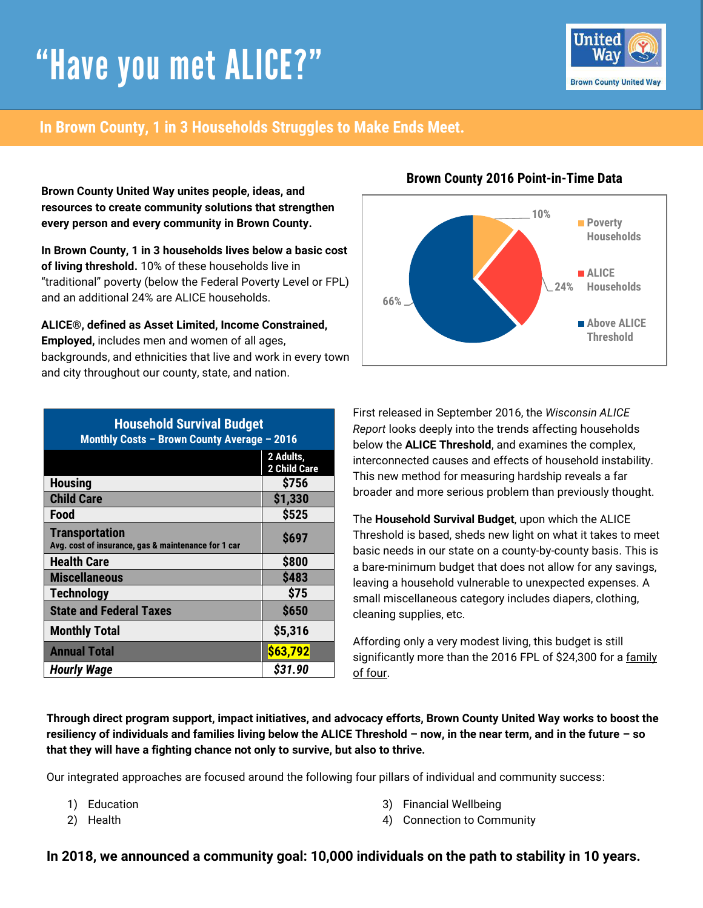# "Have you met ALICE?"



# **In Brown County, 1 in 3 Households Struggles to Make Ends Meet.**

**Brown County United Way unites people, ideas, and resources to create community solutions that strengthen every person and every community in Brown County.** 

**In Brown County, 1 in 3 households lives below a basic cost of living threshold.** 10% of these households live in "traditional" poverty (below the Federal Poverty Level or FPL) and an additional 24% are ALICE households.

**ALICE®, defined as Asset Limited, Income Constrained, Employed,** includes men and women of all ages, backgrounds, and ethnicities that live and work in every town and city throughout our county, state, and nation.

| <b>Household Survival Budget</b><br>Monthly Costs - Brown County Average - 2016 |                           |  |
|---------------------------------------------------------------------------------|---------------------------|--|
|                                                                                 | 2 Adults,<br>2 Child Care |  |
| <b>Housing</b>                                                                  | \$756                     |  |
| <b>Child Care</b>                                                               | \$1,330                   |  |
| Food                                                                            | \$525                     |  |
| <b>Transportation</b><br>Avg. cost of insurance, gas & maintenance for 1 car    | \$697                     |  |
| <b>Health Care</b>                                                              | \$800                     |  |
| <b>Miscellaneous</b>                                                            | <b>\$483</b>              |  |
| <b>Technology</b>                                                               | \$75                      |  |
| <b>State and Federal Taxes</b>                                                  | \$650                     |  |
| <b>Monthly Total</b>                                                            | \$5,316                   |  |
| <b>Annual Total</b>                                                             | \$63,792                  |  |
| <b>Hourly Wage</b>                                                              | \$31.90                   |  |

## **Brown County 2016 Point-in-Time Data**



First released in September 2016, the *Wisconsin ALICE Report* looks deeply into the trends affecting households below the **ALICE Threshold**, and examines the complex, interconnected causes and effects of household instability. This new method for measuring hardship reveals a far broader and more serious problem than previously thought.

The **Household Survival Budget**, upon which the ALICE Threshold is based, sheds new light on what it takes to meet basic needs in our state on a county-by-county basis. This is a bare-minimum budget that does not allow for any savings, leaving a household vulnerable to unexpected expenses. A small miscellaneous category includes diapers, clothing, cleaning supplies, etc.

Affording only a very modest living, this budget is still significantly more than the 2016 FPL of \$24,300 for a family of four.

**Through direct program support, impact initiatives, and advocacy efforts, Brown County United Way works to boost the resiliency of individuals and families living below the ALICE Threshold – now, in the near term, and in the future – so that they will have a fighting chance not only to survive, but also to thrive.** 

Our integrated approaches are focused around the following four pillars of individual and community success:

- 1) Education
- 2) Health
- 3) Financial Wellbeing
- 4) Connection to Community

### **In 2018, we announced a community goal: 10,000 individuals on the path to stability in 10 years.**